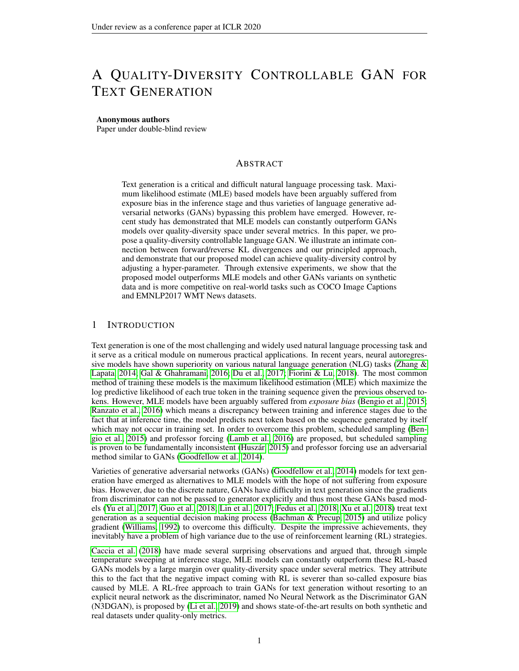# A QUALITY-DIVERSITY CONTROLLABLE GAN FOR TEXT GENERATION

#### Anonymous authors

Paper under double-blind review

## ABSTRACT

Text generation is a critical and difficult natural language processing task. Maximum likelihood estimate (MLE) based models have been arguably suffered from exposure bias in the inference stage and thus varieties of language generative adversarial networks (GANs) bypassing this problem have emerged. However, recent study has demonstrated that MLE models can constantly outperform GANs models over quality-diversity space under several metrics. In this paper, we propose a quality-diversity controllable language GAN. We illustrate an intimate connection between forward/reverse KL divergences and our principled approach, and demonstrate that our proposed model can achieve quality-diversity control by adjusting a hyper-parameter. Through extensive experiments, we show that the proposed model outperforms MLE models and other GANs variants on synthetic data and is more competitive on real-world tasks such as COCO Image Captions and EMNLP2017 WMT News datasets.

#### 1 INTRODUCTION

Text generation is one of the most challenging and widely used natural language processing task and it serve as a critical module on numerous practical applications. In recent years, neural autoregressive models have shown superiority on various natural language generation (NLG) tasks (Zhang  $\&$ [Lapata, 2014;](#page-9-0) [Gal & Ghahramani, 2016;](#page-8-0) [Du et al., 2017;](#page-8-1) [Fiorini & Lu, 2018\)](#page-8-2). The most common method of training these models is the maximum likelihood estimation (MLE) which maximize the log predictive likelihood of each true token in the training sequence given the previous observed tokens. However, MLE models have been arguably suffered from *exposure bias* [\(Bengio et al., 2015;](#page-8-3) [Ranzato et al., 2016\)](#page-9-1) which means a discrepancy between training and inference stages due to the fact that at inference time, the model predicts next token based on the sequence generated by itself which may not occur in training set. In order to overcome this problem, scheduled sampling [\(Ben](#page-8-3)[gio et al., 2015\)](#page-8-3) and professor forcing [\(Lamb et al., 2016\)](#page-8-4) are proposed, but scheduled sampling is proven to be fundamentally inconsistent (Huszár, 2015) and professor forcing use an adversarial method similar to GANs [\(Goodfellow et al., 2014\)](#page-8-6).

Varieties of generative adversarial networks (GANs) [\(Goodfellow et al., 2014\)](#page-8-6) models for text generation have emerged as alternatives to MLE models with the hope of not suffering from exposure bias. However, due to the discrete nature, GANs have difficulty in text generation since the gradients from discriminator can not be passed to generator explicitly and thus most these GANs based models [\(Yu et al., 2017;](#page-9-2) [Guo et al., 2018;](#page-8-7) [Lin et al., 2017;](#page-8-8) [Fedus et al., 2018;](#page-8-9) [Xu et al., 2018\)](#page-9-3) treat text generation as a sequential decision making process [\(Bachman & Precup, 2015\)](#page-8-10) and utilize policy gradient [\(Williams, 1992\)](#page-9-4) to overcome this difficulty. Despite the impressive achievements, they inevitably have a problem of high variance due to the use of reinforcement learning (RL) strategies.

[Caccia et al.](#page-8-11) [\(2018\)](#page-8-11) have made several surprising observations and argued that, through simple temperature sweeping at inference stage, MLE models can constantly outperform these RL-based GANs models by a large margin over quality-diversity space under several metrics. They attribute this to the fact that the negative impact coming with RL is severer than so-called exposure bias caused by MLE. A RL-free approach to train GANs for text generation without resorting to an explicit neural network as the discriminator, named No Neural Network as the Discriminator GAN (N3DGAN), is proposed by [\(Li et al., 2019\)](#page-8-12) and shows state-of-the-art results on both synthetic and real datasets under quality-only metrics.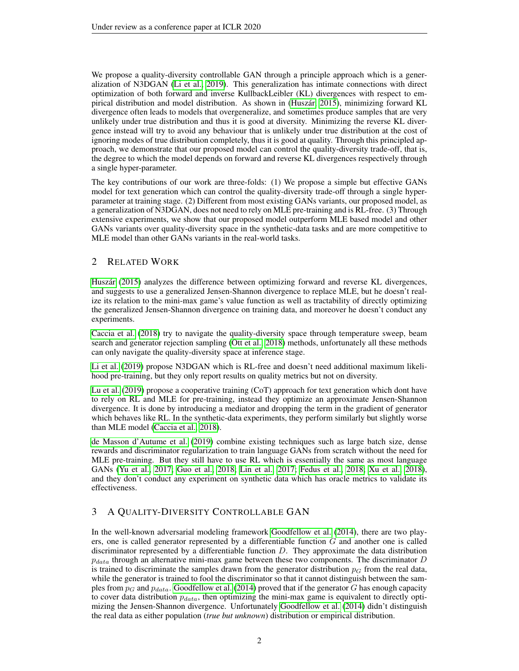We propose a quality-diversity controllable GAN through a principle approach which is a generalization of N3DGAN [\(Li et al., 2019\)](#page-8-12). This generalization has intimate connections with direct optimization of both forward and inverse KullbackLeibler (KL) divergences with respect to empirical distribution and model distribution. As shown in (Huszár, 2015), minimizing forward KL divergence often leads to models that overgeneralize, and sometimes produce samples that are very unlikely under true distribution and thus it is good at diversity. Minimizing the reverse KL divergence instead will try to avoid any behaviour that is unlikely under true distribution at the cost of ignoring modes of true distribution completely, thus it is good at quality. Through this principled approach, we demonstrate that our proposed model can control the quality-diversity trade-off, that is, the degree to which the model depends on forward and reverse KL divergences respectively through a single hyper-parameter.

The key contributions of our work are three-folds: (1) We propose a simple but effective GANs model for text generation which can control the quality-diversity trade-off through a single hyperparameter at training stage. (2) Different from most existing GANs variants, our proposed model, as a generalization of N3DGAN, does not need to rely on MLE pre-training and is RL-free. (3) Through extensive experiments, we show that our proposed model outperform MLE based model and other GANs variants over quality-diversity space in the synthetic-data tasks and are more competitive to MLE model than other GANs variants in the real-world tasks.

## 2 RELATED WORK

Huszár [\(2015\)](#page-8-5) analyzes the difference between optimizing forward and reverse KL divergences, and suggests to use a generalized Jensen-Shannon divergence to replace MLE, but he doesn't realize its relation to the mini-max game's value function as well as tractability of directly optimizing the generalized Jensen-Shannon divergence on training data, and moreover he doesn't conduct any experiments.

[Caccia et al.](#page-8-11) [\(2018\)](#page-8-11) try to navigate the quality-diversity space through temperature sweep, beam search and generator rejection sampling [\(Ott et al., 2018\)](#page-9-5) methods, unfortunately all these methods can only navigate the quality-diversity space at inference stage.

[Li et al.](#page-8-12) [\(2019\)](#page-8-12) propose N3DGAN which is RL-free and doesn't need additional maximum likelihood pre-training, but they only report results on quality metrics but not on diversity.

[Lu et al.](#page-8-13) [\(2019\)](#page-8-13) propose a cooperative training (CoT) approach for text generation which dont have to rely on RL and MLE for pre-training, instead they optimize an approximate Jensen-Shannon divergence. It is done by introducing a mediator and dropping the term in the gradient of generator which behaves like RL. In the synthetic-data experiments, they perform similarly but slightly worse than MLE model [\(Caccia et al., 2018\)](#page-8-11).

[de Masson d'Autume et al.](#page-8-14) [\(2019\)](#page-8-14) combine existing techniques such as large batch size, dense rewards and discriminator regularization to train language GANs from scratch without the need for MLE pre-training. But they still have to use RL which is essentially the same as most language GANs [\(Yu et al., 2017;](#page-9-2) [Guo et al., 2018;](#page-8-7) [Lin et al., 2017;](#page-8-8) [Fedus et al., 2018;](#page-8-9) [Xu et al., 2018\)](#page-9-3), and they don't conduct any experiment on synthetic data which has oracle metrics to validate its effectiveness.

## 3 A QUALITY-DIVERSITY CONTROLLABLE GAN

In the well-known adversarial modeling framework [Goodfellow et al.](#page-8-6) [\(2014\)](#page-8-6), there are two players, one is called generator represented by a differentiable function  $G$  and another one is called discriminator represented by a differentiable function D. They approximate the data distribution  $p_{data}$  through an alternative mini-max game between these two components. The discriminator D is trained to discriminate the samples drawn from the generator distribution  $p_G$  from the real data, while the generator is trained to fool the discriminator so that it cannot distinguish between the samples from  $p_G$  and  $p_{data}$ . [Goodfellow et al.](#page-8-6) [\(2014\)](#page-8-6) proved that if the generator G has enough capacity to cover data distribution  $p_{data}$ , then optimizing the mini-max game is equivalent to directly optimizing the Jensen-Shannon divergence. Unfortunately [Goodfellow et al.](#page-8-6) [\(2014\)](#page-8-6) didn't distinguish the real data as either population (*true but unknown*) distribution or empirical distribution.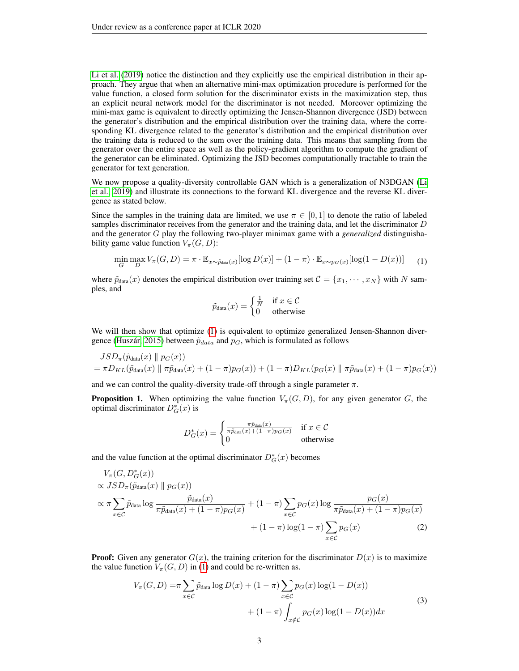[Li et al.](#page-8-12) [\(2019\)](#page-8-12) notice the distinction and they explicitly use the empirical distribution in their approach. They argue that when an alternative mini-max optimization procedure is performed for the value function, a closed form solution for the discriminator exists in the maximization step, thus an explicit neural network model for the discriminator is not needed. Moreover optimizing the mini-max game is equivalent to directly optimizing the Jensen-Shannon divergence (JSD) between the generator's distribution and the empirical distribution over the training data, where the corresponding KL divergence related to the generator's distribution and the empirical distribution over the training data is reduced to the sum over the training data. This means that sampling from the generator over the entire space as well as the policy-gradient algorithm to compute the gradient of the generator can be eliminated. Optimizing the JSD becomes computationally tractable to train the generator for text generation.

We now propose a quality-diversity controllable GAN which is a generalization of N3DGAN [\(Li](#page-8-12) [et al., 2019\)](#page-8-12) and illustrate its connections to the forward KL divergence and the reverse KL divergence as stated below.

Since the samples in the training data are limited, we use  $\pi \in [0,1]$  to denote the ratio of labeled samples discriminator receives from the generator and the training data, and let the discriminator  $D$ and the generator G play the following two-player minimax game with a *generalized* distinguishability game value function  $V_\pi(G, D)$ :

$$
\min_{G} \max_{D} V_{\pi}(G, D) = \pi \cdot \mathbb{E}_{x \sim \tilde{p}_{data}(x)}[\log D(x)] + (1 - \pi) \cdot \mathbb{E}_{x \sim p_G(x)}[\log(1 - D(x))]
$$
(1)

<span id="page-2-0"></span>where  $\tilde{p}_{data}(x)$  denotes the empirical distribution over training set  $\mathcal{C} = \{x_1, \dots, x_N\}$  with N samples, and

$$
\tilde{p}_{\text{data}}(x) = \begin{cases} \frac{1}{N} & \text{if } x \in \mathcal{C} \\ 0 & \text{otherwise} \end{cases}
$$

We will then show that optimize [\(1\)](#page-2-0) is equivalent to optimize generalized Jensen-Shannon divergence (Huszár, 2015) between  $\tilde{p}_{data}$  and  $p_G$ , which is formulated as follows

$$
JSD_{\pi}(\tilde{p}_{data}(x) \parallel p_G(x))
$$
  
=  $\pi D_{KL}(\tilde{p}_{data}(x) \parallel \pi \tilde{p}_{data}(x) + (1 - \pi)p_G(x)) + (1 - \pi)D_{KL}(p_G(x) \parallel \pi \tilde{p}_{data}(x) + (1 - \pi)p_G(x))$ 

and we can control the quality-diversity trade-off through a single parameter  $\pi$ .

**Proposition 1.** When optimizing the value function  $V_\pi(G, D)$ , for any given generator G, the optimal discriminator  $D^*_{G}(x)$  is

<span id="page-2-2"></span>
$$
D_G^*(x) = \begin{cases} \frac{\pi \tilde{p}_{\text{data}}(x)}{\pi \tilde{p}_{\text{data}}(x) + (1 - \pi) p_G(x)} & \text{if } x \in \mathcal{C} \\ 0 & \text{otherwise} \end{cases}
$$

and the value function at the optimal discriminator  $D_G^*(x)$  becomes

$$
V_{\pi}(G, D_{G}^{*}(x))
$$
  
\n
$$
\propto JSD_{\pi}(\tilde{p}_{data}(x) \parallel p_{G}(x))
$$
  
\n
$$
\propto \pi \sum_{x \in C} \tilde{p}_{data} \log \frac{\tilde{p}_{data}(x)}{\pi \tilde{p}_{data}(x) + (1 - \pi) p_{G}(x)} + (1 - \pi) \sum_{x \in C} p_{G}(x) \log \frac{p_{G}(x)}{\pi \tilde{p}_{data}(x) + (1 - \pi) p_{G}(x)} + (1 - \pi) \log(1 - \pi) \sum_{x \in C} p_{G}(x)
$$
\n(2)

<span id="page-2-1"></span>**Proof:** Given any generator  $G(x)$ , the training criterion for the discriminator  $D(x)$  is to maximize the value function  $V_{\pi}(G, D)$  in [\(1\)](#page-2-0) and could be re-written as.

$$
V_{\pi}(G, D) = \pi \sum_{x \in C} \tilde{p}_{data} \log D(x) + (1 - \pi) \sum_{x \in C} p_G(x) \log(1 - D(x))
$$
  
+ 
$$
(1 - \pi) \int_{x \notin C} p_G(x) \log(1 - D(x)) dx
$$
 (3)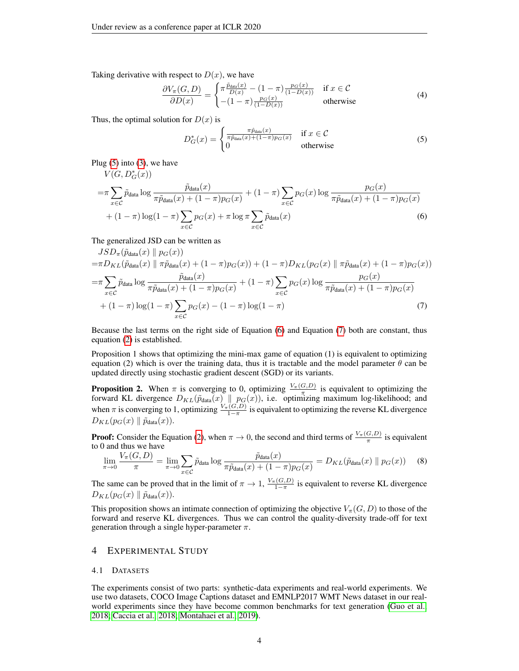Taking derivative with respect to  $D(x)$ , we have

$$
\frac{\partial V_{\pi}(G,D)}{\partial D(x)} = \begin{cases} \pi \frac{\tilde{p}_{\text{data}}(x)}{D(x)} - (1-\pi) \frac{p_G(x)}{(1-D(x))} & \text{if } x \in \mathcal{C} \\ -(1-\pi) \frac{p_G(x)}{(1-D(x))} & \text{otherwise} \end{cases}
$$
(4)

Thus, the optimal solution for  $D(x)$  is

<span id="page-3-2"></span><span id="page-3-1"></span><span id="page-3-0"></span>
$$
D_G^*(x) = \begin{cases} \frac{\pi \hat{p}_{\text{data}}(x)}{\pi \hat{p}_{\text{data}}(x) + (1-\pi)p_G(x)} & \text{if } x \in \mathcal{C} \\ 0 & \text{otherwise} \end{cases}
$$
(5)

Plug  $(5)$  into  $(3)$ , we have

$$
V(G, D_G^*(x))
$$
  
= $\pi \sum_{x \in C} \tilde{p}_{data} \log \frac{\tilde{p}_{data}(x)}{\pi \tilde{p}_{data}(x) + (1 - \pi) p_G(x)} + (1 - \pi) \sum_{x \in C} p_G(x) \log \frac{p_G(x)}{\pi \tilde{p}_{data}(x) + (1 - \pi) p_G(x)}$   
+ $(1 - \pi) \log(1 - \pi) \sum_{x \in C} p_G(x) + \pi \log \pi \sum_{x \in C} \tilde{p}_{data}(x)$  (6)

The generalized JSD can be written as

$$
JSD_{\pi}(\tilde{p}_{data}(x) \parallel p_G(x))
$$
  
= $\pi D_{KL}(\tilde{p}_{data}(x) \parallel \pi \tilde{p}_{data}(x) + (1 - \pi)p_G(x)) + (1 - \pi)D_{KL}(p_G(x) \parallel \pi \tilde{p}_{data}(x) + (1 - \pi)p_G(x))$   
= $\pi \sum_{x \in C} \tilde{p}_{data} \log \frac{\tilde{p}_{data}(x)}{\pi \tilde{p}_{data}(x) + (1 - \pi)p_G(x)} + (1 - \pi) \sum_{x \in C} p_G(x) \log \frac{p_G(x)}{\pi \tilde{p}_{data}(x) + (1 - \pi)p_G(x)}$   
+ $(1 - \pi) \log(1 - \pi) \sum_{x \in C} p_G(x) - (1 - \pi) \log(1 - \pi)$  (7)

Because the last terms on the right side of Equation [\(6\)](#page-3-1) and Equation [\(7\)](#page-3-2) both are constant, thus equation [\(2\)](#page-2-2) is established.

Proposition 1 shows that optimizing the mini-max game of equation (1) is equivalent to optimizing equation (2) which is over the training data, thus it is tractable and the model parameter  $\theta$  can be updated directly using stochastic gradient descent (SGD) or its variants.

**Proposition 2.** When  $\pi$  is converging to 0, optimizing  $\frac{V_{\pi}(G,D)}{\pi}$  is equivalent to optimizing the forward KL divergence  $D_{KL}(\tilde{p}_{data}(x) \parallel p_G(x))$ , i.e. optimizing maximum log-likelihood; and when  $\pi$  is converging to 1, optimizing  $\frac{V_{\pi}(G, D)}{1 - \pi}$  is equivalent to optimizing the reverse KL divergence  $D_{KL}(p_G(x) \parallel \tilde{p}_{data}(x)).$ 

**Proof:** Consider the Equation [\(2\)](#page-2-2), when  $\pi \to 0$ , the second and third terms of  $\frac{V_{\pi}(G,D)}{\pi}$  is equivalent to 0 and thus we have

$$
\lim_{\pi \to 0} \frac{V_{\pi}(G, D)}{\pi} = \lim_{\pi \to 0} \sum_{x \in C} \tilde{p}_{\text{data}} \log \frac{\tilde{p}_{\text{data}}(x)}{\pi \tilde{p}_{\text{data}}(x) + (1 - \pi) p_G(x)} = D_{KL}(\tilde{p}_{\text{data}}(x) \parallel p_G(x)) \tag{8}
$$

The same can be proved that in the limit of  $\pi \to 1$ ,  $\frac{V_{\pi}(G,D)}{1-\pi}$  is equivalent to reverse KL divergence  $D_{KL}(p_G(x) \parallel \tilde{p}_{data}(x)).$ 

This proposition shows an intimate connection of optimizing the objective  $V_\pi(G, D)$  to those of the forward and reserve KL divergences. Thus we can control the quality-diversity trade-off for text generation through a single hyper-parameter  $\pi$ .

#### 4 EXPERIMENTAL STUDY

#### 4.1 DATASETS

The experiments consist of two parts: synthetic-data experiments and real-world experiments. We use two datasets, COCO Image Captions dataset and EMNLP2017 WMT News dataset in our realworld experiments since they have become common benchmarks for text generation [\(Guo et al.,](#page-8-7) [2018;](#page-8-7) [Caccia et al., 2018;](#page-8-11) [Montahaei et al., 2019\)](#page-9-6).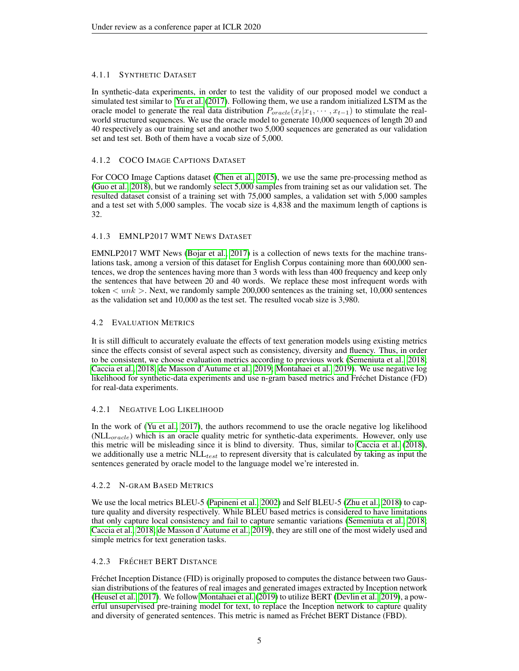## 4.1.1 SYNTHETIC DATASET

In synthetic-data experiments, in order to test the validity of our proposed model we conduct a simulated test similar to [Yu et al.](#page-9-2) [\(2017\)](#page-9-2). Following them, we use a random initialized LSTM as the oracle model to generate the real data distribution  $P_{oracle}(x_t|x_1, \dots, x_{t-1})$  to stimulate the realworld structured sequences. We use the oracle model to generate 10,000 sequences of length 20 and 40 respectively as our training set and another two 5,000 sequences are generated as our validation set and test set. Both of them have a vocab size of 5,000.

#### 4.1.2 COCO IMAGE CAPTIONS DATASET

For COCO Image Captions dataset [\(Chen et al., 2015\)](#page-8-15), we use the same pre-processing method as [\(Guo et al., 2018\)](#page-8-7), but we randomly select 5,000 samples from training set as our validation set. The resulted dataset consist of a training set with 75,000 samples, a validation set with 5,000 samples and a test set with 5,000 samples. The vocab size is 4,838 and the maximum length of captions is 32.

#### 4.1.3 EMNLP2017 WMT NEWS DATASET

EMNLP2017 WMT News [\(Bojar et al., 2017\)](#page-8-16) is a collection of news texts for the machine translations task, among a version of this dataset for English Corpus containing more than 600,000 sentences, we drop the sentences having more than 3 words with less than 400 frequency and keep only the sentences that have between 20 and 40 words. We replace these most infrequent words with token  $\langle$  unk  $\rangle$ . Next, we randomly sample 200,000 sentences as the training set, 10,000 sentences as the validation set and 10,000 as the test set. The resulted vocab size is 3,980.

#### 4.2 EVALUATION METRICS

It is still difficult to accurately evaluate the effects of text generation models using existing metrics since the effects consist of several aspect such as consistency, diversity and fluency. Thus, in order to be consistent, we choose evaluation metrics according to previous work [\(Semeniuta et al., 2018;](#page-9-7) [Caccia et al., 2018;](#page-8-11) [de Masson d'Autume et al., 2019;](#page-8-14) [Montahaei et al., 2019\)](#page-9-6). We use negative log likelihood for synthetic-data experiments and use n-gram based metrics and Frechet Distance (FD) ´ for real-data experiments.

## 4.2.1 NEGATIVE LOG LIKELIHOOD

In the work of [\(Yu et al., 2017\)](#page-9-2), the authors recommend to use the oracle negative log likelihood  $(NLL_{oracle})$  which is an oracle quality metric for synthetic-data experiments. However, only use this metric will be misleading since it is blind to diversity. Thus, similar to [Caccia et al.](#page-8-11) [\(2018\)](#page-8-11), we additionally use a metric  $NLL_{test}$  to represent diversity that is calculated by taking as input the sentences generated by oracle model to the language model we're interested in.

## 4.2.2 N-GRAM BASED METRICS

We use the local metrics BLEU-5 [\(Papineni et al., 2002\)](#page-9-8) and Self BLEU-5 [\(Zhu et al., 2018\)](#page-9-9) to capture quality and diversity respectively. While BLEU based metrics is considered to have limitations that only capture local consistency and fail to capture semantic variations [\(Semeniuta et al., 2018;](#page-9-7) [Caccia et al., 2018;](#page-8-11) [de Masson d'Autume et al., 2019\)](#page-8-14), they are still one of the most widely used and simple metrics for text generation tasks.

## 4.2.3 FRÉCHET BERT DISTANCE

Fréchet Inception Distance (FID) is originally proposed to computes the distance between two Gaussian distributions of the features of real images and generated images extracted by Inception network [\(Heusel et al., 2017\)](#page-8-17). We follow [Montahaei et al.](#page-9-6) [\(2019\)](#page-9-6) to utilize BERT [\(Devlin et al., 2019\)](#page-8-18), a powerful unsupervised pre-training model for text, to replace the Inception network to capture quality and diversity of generated sentences. This metric is named as Frechet BERT Distance (FBD). ´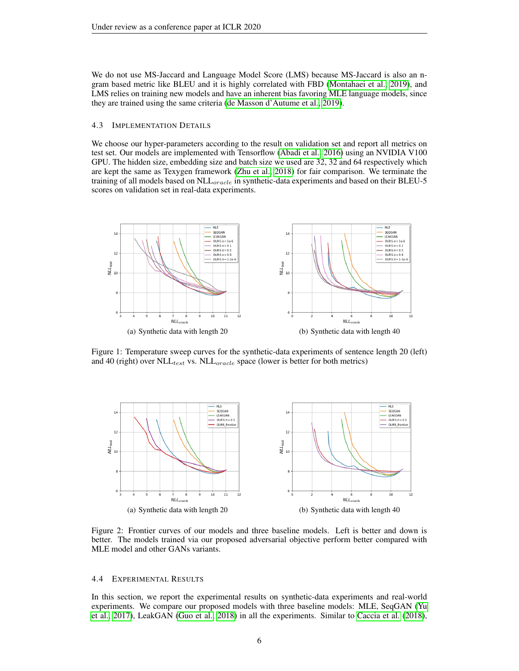We do not use MS-Jaccard and Language Model Score (LMS) because MS-Jaccard is also an ngram based metric like BLEU and it is highly correlated with FBD [\(Montahaei et al., 2019\)](#page-9-6), and LMS relies on training new models and have an inherent bias favoring MLE language models, since they are trained using the same criteria [\(de Masson d'Autume et al., 2019\)](#page-8-14).

#### 4.3 IMPLEMENTATION DETAILS

We choose our hyper-parameters according to the result on validation set and report all metrics on test set. Our models are implemented with Tensorflow [\(Abadi et al., 2016\)](#page-7-0) using an NVIDIA V100 GPU. The hidden size, embedding size and batch size we used are 32, 32 and 64 respectively which are kept the same as Texygen framework [\(Zhu et al., 2018\)](#page-9-9) for fair comparison. We terminate the training of all models based on NLL<sub>oracle</sub> in synthetic-data experiments and based on their BLEU-5 scores on validation set in real-data experiments.



Figure 1: Temperature sweep curves for the synthetic-data experiments of sentence length 20 (left) and 40 (right) over  $NLL_{test}$  vs.  $NLL_{oracle}$  space (lower is better for both metrics)



Figure 2: Frontier curves of our models and three baseline models. Left is better and down is better. The models trained via our proposed adversarial objective perform better compared with MLE model and other GANs variants.

#### 4.4 EXPERIMENTAL RESULTS

In this section, we report the experimental results on synthetic-data experiments and real-world experiments. We compare our proposed models with three baseline models: MLE, SeqGAN [\(Yu](#page-9-2) [et al., 2017\)](#page-9-2), LeakGAN [\(Guo et al., 2018\)](#page-8-7) in all the experiments. Similar to [Caccia et al.](#page-8-11) [\(2018\)](#page-8-11),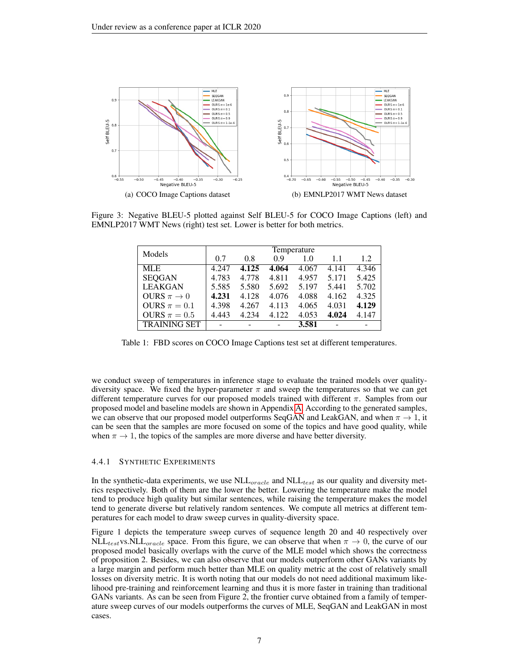<span id="page-6-1"></span>

<span id="page-6-0"></span>Figure 3: Negative BLEU-5 plotted against Self BLEU-5 for COCO Image Captions (left) and EMNLP2017 WMT News (right) test set. Lower is better for both metrics.

<span id="page-6-2"></span>

| Models              | Temperature |       |       |       |       |       |
|---------------------|-------------|-------|-------|-------|-------|-------|
|                     | 0.7         | 0.8   | 0.9   | 1.0   | 1.1   | 1.2   |
| <b>MLE</b>          | 4.247       | 4.125 | 4.064 | 4.067 | 4.141 | 4.346 |
| <b>SEQGAN</b>       | 4.783       | 4.778 | 4.811 | 4.957 | 5.171 | 5.425 |
| <b>LEAKGAN</b>      | 5.585       | 5.580 | 5.692 | 5.197 | 5.441 | 5.702 |
| OURS $\pi \to 0$    | 4.231       | 4.128 | 4.076 | 4.088 | 4.162 | 4.325 |
| OURS $\pi = 0.1$    | 4.398       | 4.267 | 4.113 | 4.065 | 4.031 | 4.129 |
| OURS $\pi = 0.5$    | 4.443       | 4.234 | 4.122 | 4.053 | 4.024 | 4.147 |
| <b>TRAINING SET</b> |             |       |       | 3.581 |       |       |

Table 1: FBD scores on COCO Image Captions test set at different temperatures.

we conduct sweep of temperatures in inference stage to evaluate the trained models over qualitydiversity space. We fixed the hyper-parameter  $\pi$  and sweep the temperatures so that we can get different temperature curves for our proposed models trained with different  $\pi$ . Samples from our proposed model and baseline models are shown in Appendix [A.](#page-10-0) According to the generated samples, we can observe that our proposed model outperforms SeqGAN and LeakGAN, and when  $\pi \to 1$ , it can be seen that the samples are more focused on some of the topics and have good quality, while when  $\pi \to 1$ , the topics of the samples are more diverse and have better diversity.

#### 4.4.1 SYNTHETIC EXPERIMENTS

In the synthetic-data experiments, we use  $NLL_{oracle}$  and  $NLL_{test}$  as our quality and diversity metrics respectively. Both of them are the lower the better. Lowering the temperature make the model tend to produce high quality but similar sentences, while raising the temperature makes the model tend to generate diverse but relatively random sentences. We compute all metrics at different temperatures for each model to draw sweep curves in quality-diversity space.

Figure 1 depicts the temperature sweep curves of sequence length 20 and 40 respectively over  $NLL_{test}$ vs. $NLL_{oracle}$  space. From this figure, we can observe that when  $\pi \rightarrow 0$ , the curve of our proposed model basically overlaps with the curve of the MLE model which shows the correctness of proposition 2. Besides, we can also observe that our models outperform other GANs variants by a large margin and perform much better than MLE on quality metric at the cost of relatively small losses on diversity metric. It is worth noting that our models do not need additional maximum likelihood pre-training and reinforcement learning and thus it is more faster in training than traditional GANs variants. As can be seen from Figure 2, the frontier curve obtained from a family of temperature sweep curves of our models outperforms the curves of MLE, SeqGAN and LeakGAN in most cases.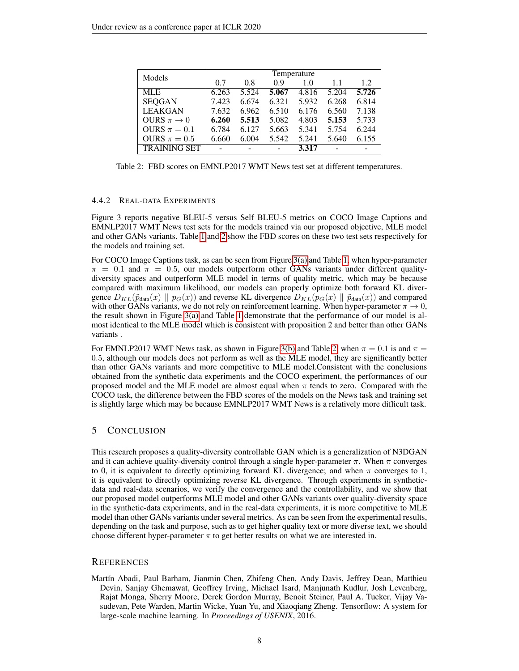<span id="page-7-1"></span>

| Models              | Temperature |       |       |       |       |       |
|---------------------|-------------|-------|-------|-------|-------|-------|
|                     | 0.7         | 0.8   | 0.9   | 1.0   | 1.1   | 1.2.  |
| <b>MLE</b>          | 6.263       | 5.524 | 5.067 | 4.816 | 5.204 | 5.726 |
| <b>SEQGAN</b>       | 7.423       | 6.674 | 6.321 | 5.932 | 6.268 | 6.814 |
| <b>LEAKGAN</b>      | 7.632       | 6.962 | 6.510 | 6.176 | 6.560 | 7.138 |
| OURS $\pi \to 0$    | 6.260       | 5.513 | 5.082 | 4.803 | 5.153 | 5.733 |
| OURS $\pi = 0.1$    | 6.784       | 6.127 | 5.663 | 5.341 | 5.754 | 6.244 |
| OURS $\pi = 0.5$    | 6.660       | 6.004 | 5.542 | 5.241 | 5.640 | 6.155 |
| <b>TRAINING SET</b> |             |       |       | 3.317 |       |       |

Table 2: FBD scores on EMNLP2017 WMT News test set at different temperatures.

#### 4.4.2 REAL-DATA EXPERIMENTS

Figure 3 reports negative BLEU-5 versus Self BLEU-5 metrics on COCO Image Captions and EMNLP2017 WMT News test sets for the models trained via our proposed objective, MLE model and other GANs variants. Table [1](#page-6-0) and [2](#page-7-1) show the FBD scores on these two test sets respectively for the models and training set.

For COCO Image Captions task, as can be seen from Figure [3\(a\)](#page-6-1) and Table [1,](#page-6-0) when hyper-parameter  $\pi = 0.1$  and  $\pi = 0.5$ , our models outperform other GANs variants under different qualitydiversity spaces and outperform MLE model in terms of quality metric, which may be because compared with maximum likelihood, our models can properly optimize both forward KL divergence  $D_{KL}(\tilde{p}_{data}(x) \parallel p_G(x))$  and reverse KL divergence  $D_{KL}(p_G(x) \parallel \tilde{p}_{data}(x))$  and compared with other GANs variants, we do not rely on reinforcement learning. When hyper-parameter  $\pi \to 0$ , the result shown in Figure  $3(a)$  and Table [1](#page-6-0) demonstrate that the performance of our model is almost identical to the MLE model which is consistent with proposition 2 and better than other GANs variants .

For EMNLP2017 WMT News task, as shown in Figure [3\(b\)](#page-6-2) and Table [2,](#page-7-1) when  $\pi = 0.1$  is and  $\pi =$ 0.5, although our models does not perform as well as the MLE model, they are significantly better than other GANs variants and more competitive to MLE model.Consistent with the conclusions obtained from the synthetic data experiments and the COCO experiment, the performances of our proposed model and the MLE model are almost equal when  $\pi$  tends to zero. Compared with the COCO task, the difference between the FBD scores of the models on the News task and training set is slightly large which may be because EMNLP2017 WMT News is a relatively more difficult task.

#### 5 CONCLUSION

This research proposes a quality-diversity controllable GAN which is a generalization of N3DGAN and it can achieve quality-diversity control through a single hyper-parameter  $\pi$ . When  $\pi$  converges to 0, it is equivalent to directly optimizing forward KL divergence; and when  $\pi$  converges to 1, it is equivalent to directly optimizing reverse KL divergence. Through experiments in syntheticdata and real-data scenarios, we verify the convergence and the controllability, and we show that our proposed model outperforms MLE model and other GANs variants over quality-diversity space in the synthetic-data experiments, and in the real-data experiments, it is more competitive to MLE model than other GANs variants under several metrics. As can be seen from the experimental results, depending on the task and purpose, such as to get higher quality text or more diverse text, we should choose different hyper-parameter  $\pi$  to get better results on what we are interested in.

#### **REFERENCES**

<span id="page-7-0"></span>Martín Abadi, Paul Barham, Jianmin Chen, Zhifeng Chen, Andy Davis, Jeffrey Dean, Matthieu Devin, Sanjay Ghemawat, Geoffrey Irving, Michael Isard, Manjunath Kudlur, Josh Levenberg, Rajat Monga, Sherry Moore, Derek Gordon Murray, Benoit Steiner, Paul A. Tucker, Vijay Vasudevan, Pete Warden, Martin Wicke, Yuan Yu, and Xiaoqiang Zheng. Tensorflow: A system for large-scale machine learning. In *Proceedings of USENIX*, 2016.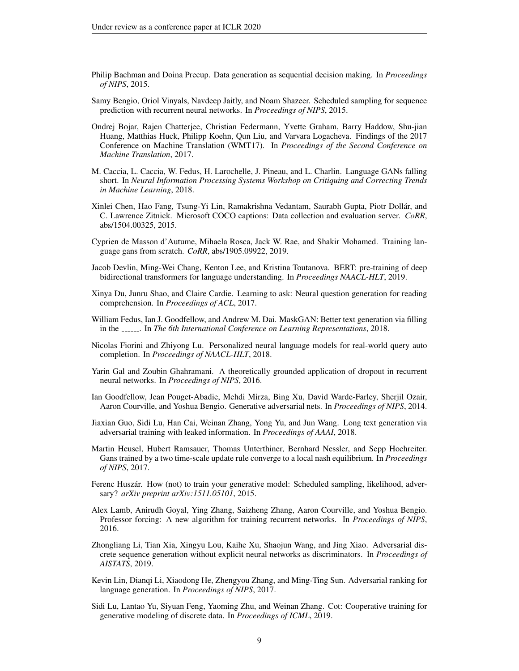- <span id="page-8-10"></span>Philip Bachman and Doina Precup. Data generation as sequential decision making. In *Proceedings of NIPS*, 2015.
- <span id="page-8-3"></span>Samy Bengio, Oriol Vinyals, Navdeep Jaitly, and Noam Shazeer. Scheduled sampling for sequence prediction with recurrent neural networks. In *Proceedings of NIPS*, 2015.
- <span id="page-8-16"></span>Ondrej Bojar, Rajen Chatterjee, Christian Federmann, Yvette Graham, Barry Haddow, Shu-jian Huang, Matthias Huck, Philipp Koehn, Qun Liu, and Varvara Logacheva. Findings of the 2017 Conference on Machine Translation (WMT17). In *Proceedings of the Second Conference on Machine Translation*, 2017.
- <span id="page-8-11"></span>M. Caccia, L. Caccia, W. Fedus, H. Larochelle, J. Pineau, and L. Charlin. Language GANs falling short. In *Neural Information Processing Systems Workshop on Critiquing and Correcting Trends in Machine Learning*, 2018.
- <span id="page-8-15"></span>Xinlei Chen, Hao Fang, Tsung-Yi Lin, Ramakrishna Vedantam, Saurabh Gupta, Piotr Dollar, and ´ C. Lawrence Zitnick. Microsoft COCO captions: Data collection and evaluation server. *CoRR*, abs/1504.00325, 2015.
- <span id="page-8-14"></span>Cyprien de Masson d'Autume, Mihaela Rosca, Jack W. Rae, and Shakir Mohamed. Training language gans from scratch. *CoRR*, abs/1905.09922, 2019.
- <span id="page-8-18"></span>Jacob Devlin, Ming-Wei Chang, Kenton Lee, and Kristina Toutanova. BERT: pre-training of deep bidirectional transformers for language understanding. In *Proceedings NAACL-HLT*, 2019.
- <span id="page-8-1"></span>Xinya Du, Junru Shao, and Claire Cardie. Learning to ask: Neural question generation for reading comprehension. In *Proceedings of ACL*, 2017.
- <span id="page-8-9"></span>William Fedus, Ian J. Goodfellow, and Andrew M. Dai. MaskGAN: Better text generation via filling in the *Figure 2018*. In *The 6th International Conference on Learning Representations*, 2018.
- <span id="page-8-2"></span>Nicolas Fiorini and Zhiyong Lu. Personalized neural language models for real-world query auto completion. In *Proceedings of NAACL-HLT*, 2018.
- <span id="page-8-0"></span>Yarin Gal and Zoubin Ghahramani. A theoretically grounded application of dropout in recurrent neural networks. In *Proceedings of NIPS*, 2016.
- <span id="page-8-6"></span>Ian Goodfellow, Jean Pouget-Abadie, Mehdi Mirza, Bing Xu, David Warde-Farley, Sherjil Ozair, Aaron Courville, and Yoshua Bengio. Generative adversarial nets. In *Proceedings of NIPS*, 2014.
- <span id="page-8-7"></span>Jiaxian Guo, Sidi Lu, Han Cai, Weinan Zhang, Yong Yu, and Jun Wang. Long text generation via adversarial training with leaked information. In *Proceedings of AAAI*, 2018.
- <span id="page-8-17"></span>Martin Heusel, Hubert Ramsauer, Thomas Unterthiner, Bernhard Nessler, and Sepp Hochreiter. Gans trained by a two time-scale update rule converge to a local nash equilibrium. In *Proceedings of NIPS*, 2017.
- <span id="page-8-5"></span>Ferenc Huszár. How (not) to train your generative model: Scheduled sampling, likelihood, adversary? *arXiv preprint arXiv:1511.05101*, 2015.
- <span id="page-8-4"></span>Alex Lamb, Anirudh Goyal, Ying Zhang, Saizheng Zhang, Aaron Courville, and Yoshua Bengio. Professor forcing: A new algorithm for training recurrent networks. In *Proceedings of NIPS*, 2016.
- <span id="page-8-12"></span>Zhongliang Li, Tian Xia, Xingyu Lou, Kaihe Xu, Shaojun Wang, and Jing Xiao. Adversarial discrete sequence generation without explicit neural networks as discriminators. In *Proceedings of AISTATS*, 2019.
- <span id="page-8-8"></span>Kevin Lin, Dianqi Li, Xiaodong He, Zhengyou Zhang, and Ming-Ting Sun. Adversarial ranking for language generation. In *Proceedings of NIPS*, 2017.
- <span id="page-8-13"></span>Sidi Lu, Lantao Yu, Siyuan Feng, Yaoming Zhu, and Weinan Zhang. Cot: Cooperative training for generative modeling of discrete data. In *Proceedings of ICML*, 2019.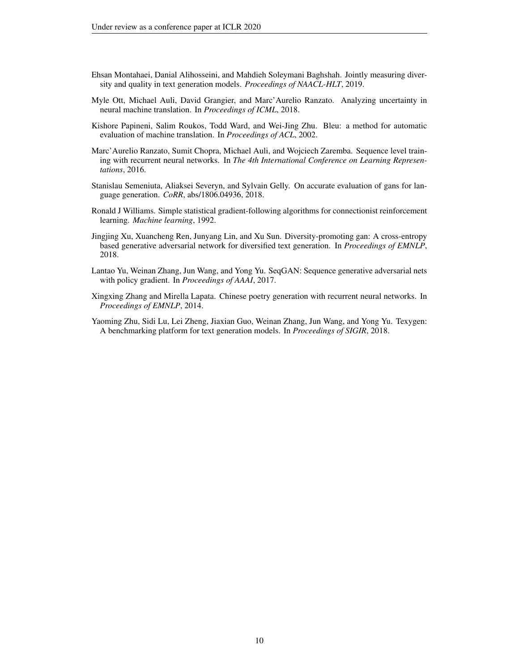- <span id="page-9-6"></span>Ehsan Montahaei, Danial Alihosseini, and Mahdieh Soleymani Baghshah. Jointly measuring diversity and quality in text generation models. *Proceedings of NAACL-HLT*, 2019.
- <span id="page-9-5"></span>Myle Ott, Michael Auli, David Grangier, and Marc'Aurelio Ranzato. Analyzing uncertainty in neural machine translation. In *Proceedings of ICML*, 2018.
- <span id="page-9-8"></span>Kishore Papineni, Salim Roukos, Todd Ward, and Wei-Jing Zhu. Bleu: a method for automatic evaluation of machine translation. In *Proceedings of ACL*, 2002.
- <span id="page-9-1"></span>Marc'Aurelio Ranzato, Sumit Chopra, Michael Auli, and Wojciech Zaremba. Sequence level training with recurrent neural networks. In *The 4th International Conference on Learning Representations*, 2016.
- <span id="page-9-7"></span>Stanislau Semeniuta, Aliaksei Severyn, and Sylvain Gelly. On accurate evaluation of gans for language generation. *CoRR*, abs/1806.04936, 2018.
- <span id="page-9-4"></span>Ronald J Williams. Simple statistical gradient-following algorithms for connectionist reinforcement learning. *Machine learning*, 1992.
- <span id="page-9-3"></span>Jingjing Xu, Xuancheng Ren, Junyang Lin, and Xu Sun. Diversity-promoting gan: A cross-entropy based generative adversarial network for diversified text generation. In *Proceedings of EMNLP*, 2018.
- <span id="page-9-2"></span>Lantao Yu, Weinan Zhang, Jun Wang, and Yong Yu. SeqGAN: Sequence generative adversarial nets with policy gradient. In *Proceedings of AAAI*, 2017.
- <span id="page-9-0"></span>Xingxing Zhang and Mirella Lapata. Chinese poetry generation with recurrent neural networks. In *Proceedings of EMNLP*, 2014.
- <span id="page-9-9"></span>Yaoming Zhu, Sidi Lu, Lei Zheng, Jiaxian Guo, Weinan Zhang, Jun Wang, and Yong Yu. Texygen: A benchmarking platform for text generation models. In *Proceedings of SIGIR*, 2018.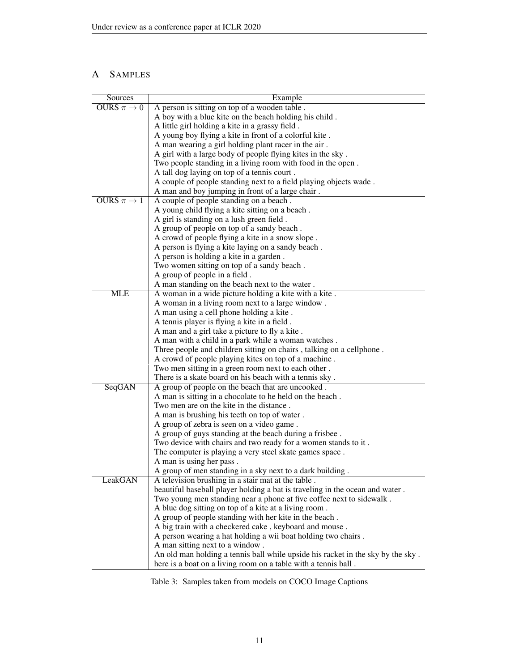## <span id="page-10-0"></span>A SAMPLES

| Sources          | Example                                                                                              |
|------------------|------------------------------------------------------------------------------------------------------|
| OURS $\pi \to 0$ | A person is sitting on top of a wooden table.                                                        |
|                  | A boy with a blue kite on the beach holding his child.                                               |
|                  | A little girl holding a kite in a grassy field.                                                      |
|                  | A young boy flying a kite in front of a colorful kite.                                               |
|                  | A man wearing a girl holding plant racer in the air.                                                 |
|                  | A girl with a large body of people flying kites in the sky.                                          |
|                  | Two people standing in a living room with food in the open.                                          |
|                  | A tall dog laying on top of a tennis court.                                                          |
|                  | A couple of people standing next to a field playing objects wade.                                    |
|                  | A man and boy jumping in front of a large chair.                                                     |
| OURS $\pi \to 1$ | A couple of people standing on a beach.                                                              |
|                  | A young child flying a kite sitting on a beach.                                                      |
|                  | A girl is standing on a lush green field.                                                            |
|                  | A group of people on top of a sandy beach.                                                           |
|                  | A crowd of people flying a kite in a snow slope.                                                     |
|                  | A person is flying a kite laying on a sandy beach.                                                   |
|                  | A person is holding a kite in a garden.                                                              |
|                  | Two women sitting on top of a sandy beach.                                                           |
|                  | A group of people in a field.                                                                        |
|                  | A man standing on the beach next to the water.                                                       |
| MLE              | A woman in a wide picture holding a kite with a kite.                                                |
|                  | A woman in a living room next to a large window.                                                     |
|                  | A man using a cell phone holding a kite.                                                             |
|                  | A tennis player is flying a kite in a field.                                                         |
|                  | A man and a girl take a picture to fly a kite.                                                       |
|                  | A man with a child in a park while a woman watches.                                                  |
|                  | Three people and children sitting on chairs, talking on a cellphone.                                 |
|                  | A crowd of people playing kites on top of a machine.                                                 |
|                  | Two men sitting in a green room next to each other.                                                  |
|                  | There is a skate board on his beach with a tennis sky.                                               |
| SeqGAN           | A group of people on the beach that are uncooked.                                                    |
|                  | A man is sitting in a chocolate to he held on the beach.                                             |
|                  | Two men are on the kite in the distance.                                                             |
|                  | A man is brushing his teeth on top of water.                                                         |
|                  | A group of zebra is seen on a video game.<br>A group of guys standing at the beach during a frisbee. |
|                  | Two device with chairs and two ready for a women stands to it.                                       |
|                  | The computer is playing a very steel skate games space.                                              |
|                  | A man is using her pass.                                                                             |
|                  | A group of men standing in a sky next to a dark building.                                            |
| LeakGAN          | A television brushing in a stair mat at the table.                                                   |
|                  | beautiful baseball player holding a bat is traveling in the ocean and water.                         |
|                  | Two young men standing near a phone at five coffee next to sidewalk.                                 |
|                  | A blue dog sitting on top of a kite at a living room.                                                |
|                  | A group of people standing with her kite in the beach.                                               |
|                  | A big train with a checkered cake, keyboard and mouse.                                               |
|                  | A person wearing a hat holding a wii boat holding two chairs.                                        |
|                  | A man sitting next to a window.                                                                      |
|                  | An old man holding a tennis ball while upside his racket in the sky by the sky.                      |
|                  | here is a boat on a living room on a table with a tennis ball.                                       |

Table 3: Samples taken from models on COCO Image Captions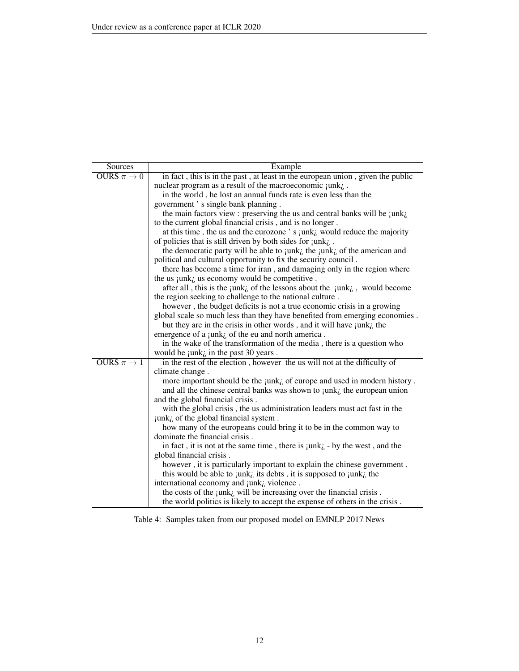| Sources          | Example                                                                                            |
|------------------|----------------------------------------------------------------------------------------------------|
| OURS $\pi \to 0$ | in fact, this is in the past, at least in the european union, given the public                     |
|                  | nuclear program as a result of the macroeconomic $\text{rank}_{\lambda}$ .                         |
|                  | in the world, he lost an annual funds rate is even less than the                                   |
|                  | government's single bank planning.                                                                 |
|                  | the main factors view : preserving the us and central banks will be $\text{rank}_{\zeta}$ .        |
|                  | to the current global financial crisis, and is no longer.                                          |
|                  | at this time, the us and the eurozone's junk; would reduce the majority                            |
|                  | of policies that is still driven by both sides for $junk_{\zeta}$ .                                |
|                  | the democratic party will be able to junk; the junk; of the american and                           |
|                  | political and cultural opportunity to fix the security council.                                    |
|                  | there has become a time for iran, and damaging only in the region where                            |
|                  | the us junk <sub>i</sub> us economy would be competitive.                                          |
|                  | after all, this is the junk <sub>i</sub> of the lessons about the junk <sub>i</sub> , would become |
|                  | the region seeking to challenge to the national culture.                                           |
|                  | however, the budget deficits is not a true economic crisis in a growing                            |
|                  | global scale so much less than they have benefited from emerging economies.                        |
|                  | but they are in the crisis in other words, and it will have $\text{rank}_{\zeta}$ the              |
|                  | emergence of a $\text{rank}_{\zeta}$ of the eu and north america.                                  |
|                  | in the wake of the transformation of the media, there is a question who                            |
|                  | would be $\text{rank}_{\zeta}$ in the past 30 years.                                               |
| OURS $\pi \to 1$ | in the rest of the election, however the us will not at the difficulty of                          |
|                  | climate change.                                                                                    |
|                  | more important should be the $\text{rank}_{\zeta}$ of europe and used in modern history.           |
|                  | and all the chinese central banks was shown to junk; the european union                            |
|                  | and the global financial crisis.                                                                   |
|                  | with the global crisis, the us administration leaders must act fast in the                         |
|                  | junk <sub>i</sub> of the global financial system.                                                  |
|                  | how many of the europeans could bring it to be in the common way to                                |
|                  | dominate the financial crisis.                                                                     |
|                  | in fact, it is not at the same time, there is $\text{rank}_{\zeta}$ - by the west, and the         |
|                  | global financial crisis.                                                                           |
|                  | however, it is particularly important to explain the chinese government.                           |
|                  | this would be able to $\text{rank}_{\zeta}$ its debts, it is supposed to $\text{rank}_{\zeta}$ the |
|                  | international economy and junk <sub>i</sub> violence.                                              |
|                  | the costs of the junk, will be increasing over the financial crisis.                               |
|                  | the world politics is likely to accept the expense of others in the crisis.                        |

Table 4: Samples taken from our proposed model on EMNLP 2017 News